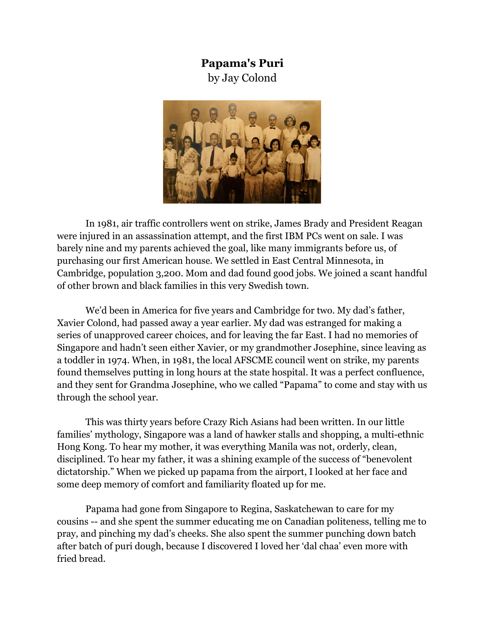## **Papama's Puri**

by Jay Colond



In 1981, air traffic controllers went on strike, James Brady and President Reagan were injured in an assassination attempt, and the first IBM PCs went on sale. I was barely nine and my parents achieved the goal, like many immigrants before us, of purchasing our first American house. We settled in East Central Minnesota, in Cambridge, population 3,200. Mom and dad found good jobs. We joined a scant handful of other brown and black families in this very Swedish town.

We'd been in America for five years and Cambridge for two. My dad's father, Xavier Colond, had passed away a year earlier. My dad was estranged for making a series of unapproved career choices, and for leaving the far East. I had no memories of Singapore and hadn't seen either Xavier, or my grandmother Josephine, since leaving as a toddler in 1974. When, in 1981, the local AFSCME council went on strike, my parents found themselves putting in long hours at the state hospital. It was a perfect confluence, and they sent for Grandma Josephine, who we called "Papama" to come and stay with us through the school year.

This was thirty years before Crazy Rich Asians had been written. In our little families' mythology, Singapore was a land of hawker stalls and shopping, a multi-ethnic Hong Kong. To hear my mother, it was everything Manila was not, orderly, clean, disciplined. To hear my father, it was a shining example of the success of "benevolent dictatorship." When we picked up papama from the airport, I looked at her face and some deep memory of comfort and familiarity floated up for me.

Papama had gone from Singapore to Regina, Saskatchewan to care for my cousins -- and she spent the summer educating me on Canadian politeness, telling me to pray, and pinching my dad's cheeks. She also spent the summer punching down batch after batch of puri dough, because I discovered I loved her 'dal chaa' even more with fried bread.